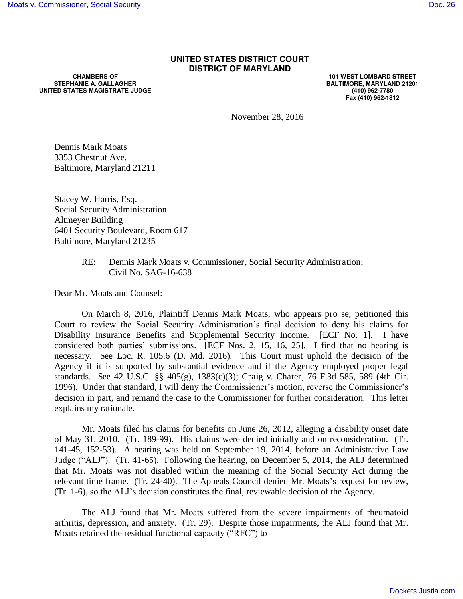## **UNITED STATES DISTRICT COURT DISTRICT OF MARYLAND**

**CHAMBERS OF STEPHANIE A. GALLAGHER UNITED STATES MAGISTRATE JUDGE** 

**101 WEST LOMBARD STREET BALTIMORE, MARYLAND 21201 (410) 962-7780 Fax (410) 962-1812**

November 28, 2016

Dennis Mark Moats 3353 Chestnut Ave. Baltimore, Maryland 21211

Stacey W. Harris, Esq. Social Security Administration Altmeyer Building 6401 Security Boulevard, Room 617 Baltimore, Maryland 21235

> RE: Dennis Mark Moats v. Commissioner, Social Security Administration; Civil No. SAG-16-638

Dear Mr. Moats and Counsel:

 On March 8, 2016, Plaintiff Dennis Mark Moats, who appears pro se, petitioned this Court to review the Social Security Administration's final decision to deny his claims for Disability Insurance Benefits and Supplemental Security Income. [ECF No. 1]. I have considered both parties' submissions. [ECF Nos. 2, 15, 16, 25]. I find that no hearing is necessary. See Loc. R. 105.6 (D. Md. 2016). This Court must uphold the decision of the Agency if it is supported by substantial evidence and if the Agency employed proper legal standards. See 42 U.S.C. §§ 405(g), 1383(c)(3); Craig v. Chater, 76 F.3d 585, 589 (4th Cir. 1996). Under that standard, I will deny the Commissioner's motion, reverse the Commissioner's decision in part, and remand the case to the Commissioner for further consideration. This letter explains my rationale.

 Mr. Moats filed his claims for benefits on June 26, 2012, alleging a disability onset date of May 31, 2010. (Tr. 189-99). His claims were denied initially and on reconsideration. (Tr. 141-45, 152-53). A hearing was held on September 19, 2014, before an Administrative Law Judge ("ALJ"). (Tr. 41-65). Following the hearing, on December 5, 2014, the ALJ determined that Mr. Moats was not disabled within the meaning of the Social Security Act during the relevant time frame. (Tr. 24-40). The Appeals Council denied Mr. Moats's request for review, (Tr. 1-6), so the ALJ's decision constitutes the final, reviewable decision of the Agency.

 The ALJ found that Mr. Moats suffered from the severe impairments of rheumatoid arthritis, depression, and anxiety. (Tr. 29). Despite those impairments, the ALJ found that Mr. Moats retained the residual functional capacity ("RFC") to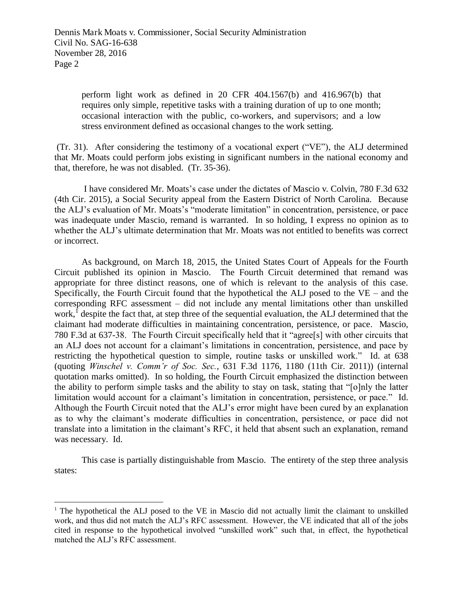perform light work as defined in 20 CFR 404.1567(b) and 416.967(b) that requires only simple, repetitive tasks with a training duration of up to one month; occasional interaction with the public, co-workers, and supervisors; and a low stress environment defined as occasional changes to the work setting.

 (Tr. 31). After considering the testimony of a vocational expert ("VE"), the ALJ determined that Mr. Moats could perform jobs existing in significant numbers in the national economy and that, therefore, he was not disabled. (Tr. 35-36).

 I have considered Mr. Moats's case under the dictates of Mascio v. Colvin, 780 F.3d 632 (4th Cir. 2015), a Social Security appeal from the Eastern District of North Carolina. Because the ALJ's evaluation of Mr. Moats's "moderate limitation" in concentration, persistence, or pace was inadequate under Mascio, remand is warranted. In so holding, I express no opinion as to whether the ALJ's ultimate determination that Mr. Moats was not entitled to benefits was correct or incorrect.

 As background, on March 18, 2015, the United States Court of Appeals for the Fourth Circuit published its opinion in Mascio. The Fourth Circuit determined that remand was appropriate for three distinct reasons, one of which is relevant to the analysis of this case. Specifically, the Fourth Circuit found that the hypothetical the ALJ posed to the  $VE -$  and the corresponding RFC assessment – did not include any mental limitations other than unskilled work,<sup>1</sup> despite the fact that, at step three of the sequential evaluation, the ALJ determined that the claimant had moderate difficulties in maintaining concentration, persistence, or pace. Mascio, 780 F.3d at 637-38. The Fourth Circuit specifically held that it "agree[s] with other circuits that an ALJ does not account for a claimant's limitations in concentration, persistence, and pace by restricting the hypothetical question to simple, routine tasks or unskilled work." Id. at 638 (quoting *Winschel v. Comm'r of Soc. Sec.*, 631 F.3d 1176, 1180 (11th Cir. 2011)) (internal quotation marks omitted). In so holding, the Fourth Circuit emphasized the distinction between the ability to perform simple tasks and the ability to stay on task, stating that "[o]nly the latter limitation would account for a claimant's limitation in concentration, persistence, or pace." Id. Although the Fourth Circuit noted that the ALJ's error might have been cured by an explanation as to why the claimant's moderate difficulties in concentration, persistence, or pace did not translate into a limitation in the claimant's RFC, it held that absent such an explanation, remand was necessary. Id.

This case is partially distinguishable from Mascio. The entirety of the step three analysis states:

l

<sup>&</sup>lt;sup>1</sup> The hypothetical the ALJ posed to the VE in Mascio did not actually limit the claimant to unskilled work, and thus did not match the ALJ's RFC assessment. However, the VE indicated that all of the jobs cited in response to the hypothetical involved "unskilled work" such that, in effect, the hypothetical matched the ALJ's RFC assessment.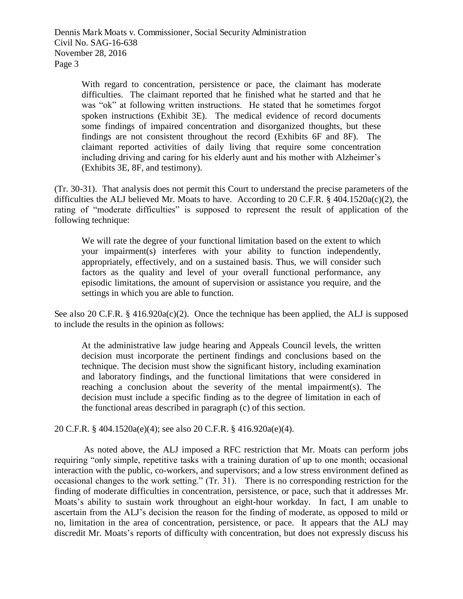Dennis Mark Moats v. Commissioner, Social Security Administration Civil No. SAG-16-638 November 28, 2016 Page 3

> With regard to concentration, persistence or pace, the claimant has moderate difficulties. The claimant reported that he finished what he started and that he was "ok" at following written instructions. He stated that he sometimes forgot spoken instructions (Exhibit 3E). The medical evidence of record documents some findings of impaired concentration and disorganized thoughts, but these findings are not consistent throughout the record (Exhibits 6F and 8F). The claimant reported activities of daily living that require some concentration including driving and caring for his elderly aunt and his mother with Alzheimer's (Exhibits 3E, 8F, and testimony).

(Tr. 30-31). That analysis does not permit this Court to understand the precise parameters of the difficulties the ALJ believed Mr. Moats to have. According to 20 C.F.R. § 404.1520a(c)(2), the rating of "moderate difficulties" is supposed to represent the result of application of the following technique:

We will rate the degree of your functional limitation based on the extent to which your impairment(s) interferes with your ability to function independently, appropriately, effectively, and on a sustained basis. Thus, we will consider such factors as the quality and level of your overall functional performance, any episodic limitations, the amount of supervision or assistance you require, and the settings in which you are able to function.

See also 20 C.F.R. § 416.920a(c)(2). Once the technique has been applied, the ALJ is supposed to include the results in the opinion as follows:

At the administrative law judge hearing and Appeals Council levels, the written decision must incorporate the pertinent findings and conclusions based on the technique. The decision must show the significant history, including examination and laboratory findings, and the functional limitations that were considered in reaching a conclusion about the severity of the mental impairment(s). The decision must include a specific finding as to the degree of limitation in each of the functional areas described in paragraph (c) of this section.

20 C.F.R. § 404.1520a(e)(4); see also 20 C.F.R. § 416.920a(e)(4).

 As noted above, the ALJ imposed a RFC restriction that Mr. Moats can perform jobs requiring "only simple, repetitive tasks with a training duration of up to one month; occasional interaction with the public, co-workers, and supervisors; and a low stress environment defined as occasional changes to the work setting." (Tr. 31). There is no corresponding restriction for the finding of moderate difficulties in concentration, persistence, or pace, such that it addresses Mr. Moats's ability to sustain work throughout an eight-hour workday. In fact, I am unable to ascertain from the ALJ's decision the reason for the finding of moderate, as opposed to mild or no, limitation in the area of concentration, persistence, or pace. It appears that the ALJ may discredit Mr. Moats's reports of difficulty with concentration, but does not expressly discuss his